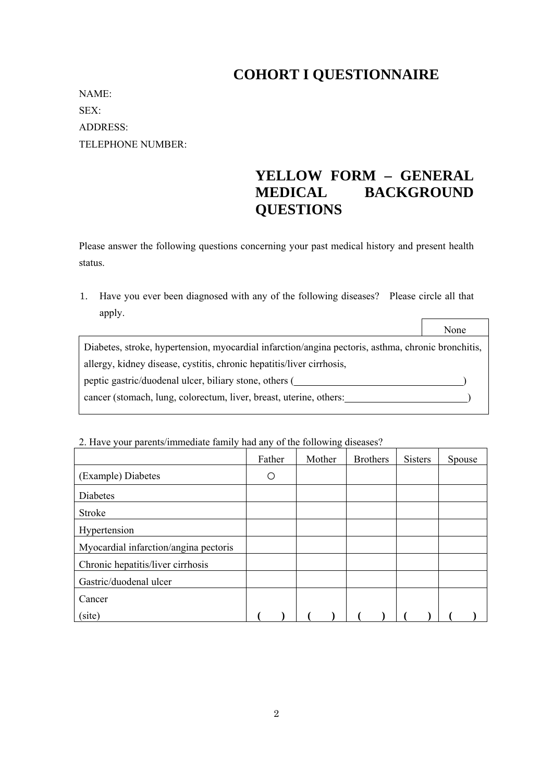## **COHORT I QUESTIONNAIRE**

NAME: SEX: ADDRESS: TELEPHONE NUMBER:

# **YELLOW FORM – GENERAL MEDICAL BACKGROUND QUESTIONS**

 $\overline{\phantom{0}}$ 

Please answer the following questions concerning your past medical history and present health status.

1. Have you ever been diagnosed with any of the following diseases? Please circle all that apply.  $\overline{\Gamma}$ 

|                                                                                                    | None |
|----------------------------------------------------------------------------------------------------|------|
| Diabetes, stroke, hypertension, myocardial infarction/angina pectoris, asthma, chronic bronchitis, |      |
| allergy, kidney disease, cystitis, chronic hepatitis/liver cirrhosis,                              |      |
| peptic gastric/duodenal ulcer, biliary stone, others (                                             |      |
| cancer (stomach, lung, colorectum, liver, breast, uterine, others:                                 |      |

#### 2. Have your parents/immediate family had any of the following diseases?

|                                       | Father | Mother | <b>Brothers</b> | <b>Sisters</b> | Spouse |
|---------------------------------------|--------|--------|-----------------|----------------|--------|
| (Example) Diabetes                    | ∩      |        |                 |                |        |
| <b>Diabetes</b>                       |        |        |                 |                |        |
| <b>Stroke</b>                         |        |        |                 |                |        |
| Hypertension                          |        |        |                 |                |        |
| Myocardial infarction/angina pectoris |        |        |                 |                |        |
| Chronic hepatitis/liver cirrhosis     |        |        |                 |                |        |
| Gastric/duodenal ulcer                |        |        |                 |                |        |
| Cancer                                |        |        |                 |                |        |
| (site)                                |        |        |                 |                |        |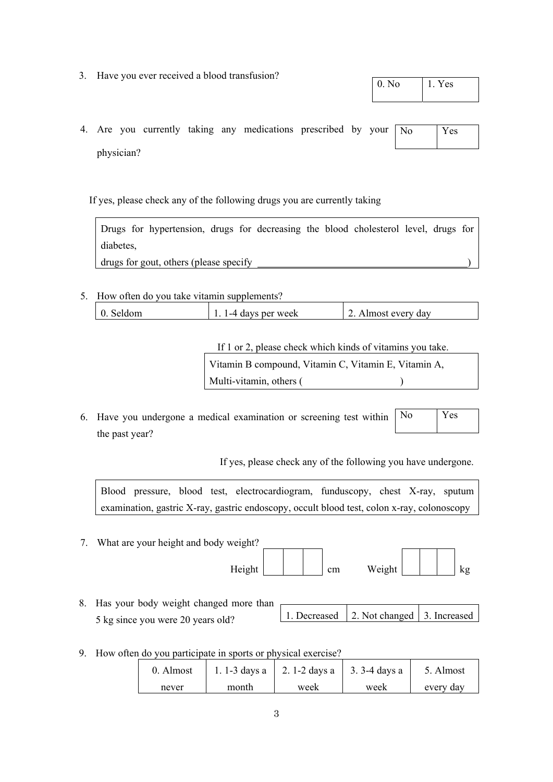3. Have you ever received a blood transfusion?

| 0. No | 1. Yes |
|-------|--------|
|       |        |

4. Are you currently taking any medications prescribed by your physician?  $No$ 

If yes, please check any of the following drugs you are currently taking

Drugs for hypertension, drugs for decreasing the blood cholesterol level, drugs for diabetes,

drugs for gout, others (please specify )

5. How often do you take vitamin supplements?

| $\vert$ 0. Seldom<br>2. Almost every day<br>1-4 days per week |
|---------------------------------------------------------------|
|---------------------------------------------------------------|

 If 1 or 2, please check which kinds of vitamins you take. Vitamin B compound, Vitamin C, Vitamin E, Vitamin A, Multi-vitamin, others ()

6. Have you undergone a medical examination or screening test within the past year? No Yes

If yes, please check any of the following you have undergone.

Blood pressure, blood test, electrocardiogram, funduscopy, chest X-ray, sputum examination, gastric X-ray, gastric endoscopy, occult blood test, colon x-ray, colonoscopy

- 7. What are your height and body weight? Height cm Weight kg 8. Has your body weight changed more than 5 kg since you were 20 years old? 1. Decreased 2. Not changed 3. Increased
- 9. How often do you participate in sports or physical exercise?

| 0. Almost |       | 1. 1-3 days a $\vert$ 2. 1-2 days a $\vert$ 3. 3-4 days a |      | 5. Almost |
|-----------|-------|-----------------------------------------------------------|------|-----------|
| never     | month | week                                                      | week | every day |

| -- |
|----|
|    |
|    |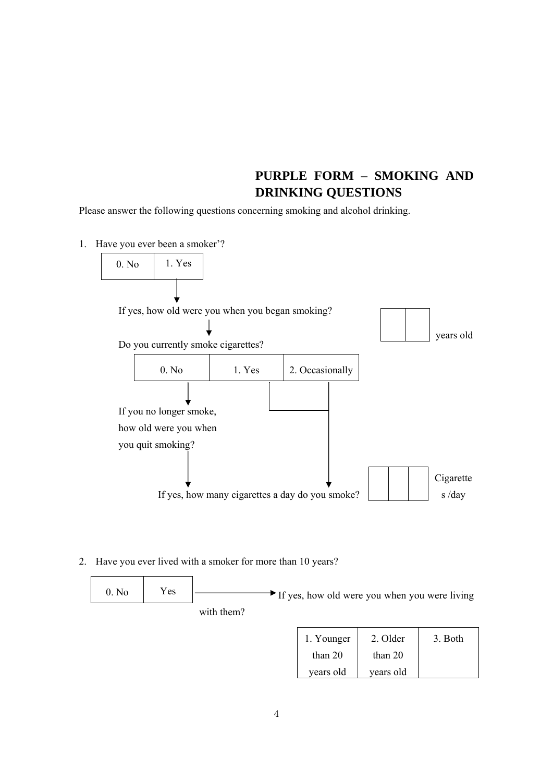#### **PURPLE FORM – SMOKING AND DRINKING QUESTIONS**

Please answer the following questions concerning smoking and alcohol drinking.

- 1. Have you ever been a smoker'? If yes, how old were you when you began smoking? Do you currently smoke cigarettes? If you no longer smoke, how old were you when you quit smoking? If yes, how many cigarettes a day do you smoke? 0. No 1. Yes years old 0. No  $1.$  Yes  $2.$  Occasionally Cigarette s /day
- 2. Have you ever lived with a smoker for more than 10 years?



| 1. Younger | 2. Older  | 3. Both |
|------------|-----------|---------|
| than 20    | than $20$ |         |
| years old  | years old |         |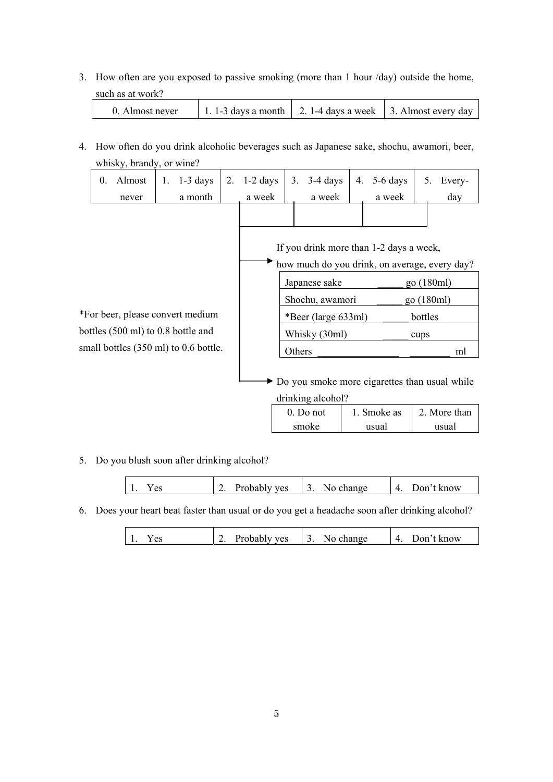3. How often are you exposed to passive smoking (more than 1 hour /day) outside the home, such as at work?

| 0. Almost never | 1. 1-3 days a month   2. 1-4 days a week   3. Almost every day |  |
|-----------------|----------------------------------------------------------------|--|
|                 |                                                                |  |

4. How often do you drink alcoholic beverages such as Japanese sake, shochu, awamori, beer, whisky, brandy, or wine?

|                                    | $\overline{0}$ . | Almost | 1. | $1-3$ days                            | 2.                                            | $1-2$ days                                                         | 3.              | $3-4$ days                              | 4.         | 5-6 days    | 5. | Every-       |
|------------------------------------|------------------|--------|----|---------------------------------------|-----------------------------------------------|--------------------------------------------------------------------|-----------------|-----------------------------------------|------------|-------------|----|--------------|
|                                    |                  | never  |    | a month                               |                                               | a week                                                             |                 | a week                                  |            | a week      |    | day          |
|                                    |                  |        |    |                                       |                                               |                                                                    |                 |                                         |            |             |    |              |
|                                    |                  |        |    |                                       |                                               |                                                                    |                 | If you drink more than 1-2 days a week, |            |             |    |              |
|                                    |                  |        |    |                                       | how much do you drink, on average, every day? |                                                                    |                 |                                         |            |             |    |              |
|                                    |                  |        |    |                                       |                                               | Japanese sake                                                      |                 |                                         | go (180ml) |             |    |              |
|                                    |                  |        |    |                                       |                                               |                                                                    | Shochu, awamori |                                         |            | go (180ml)  |    |              |
| *For beer, please convert medium   |                  |        |    |                                       |                                               | *Beer (large 633ml)                                                |                 |                                         | bottles    |             |    |              |
| bottles (500 ml) to 0.8 bottle and |                  |        |    |                                       |                                               | Whisky (30ml)                                                      |                 |                                         | cups       |             |    |              |
|                                    |                  |        |    | small bottles (350 ml) to 0.6 bottle. |                                               |                                                                    | Others          |                                         |            |             |    | ml           |
|                                    |                  |        |    |                                       |                                               | Do you smoke more cigarettes than usual while<br>drinking alcohol? |                 |                                         |            |             |    |              |
|                                    |                  |        |    |                                       |                                               |                                                                    |                 | 0. Do not                               |            | 1. Smoke as |    | 2. More than |
|                                    |                  |        |    |                                       |                                               |                                                                    |                 | smoke                                   |            | usual       |    | usual        |

5. Do you blush soon after drinking alcohol?

 $\mathsf{I}$ 

| ves<br>now<br>Δ٥<br>. .<br>טורוצר<br>NI 1<br>. . |
|--------------------------------------------------|
|--------------------------------------------------|

6. Does your heart beat faster than usual or do you get a headache soon after drinking alcohol?

| Probably yes<br>change<br>. know<br>Jon?<br>$\alpha$ c<br>$\sim$<br>N1 |
|------------------------------------------------------------------------|
|------------------------------------------------------------------------|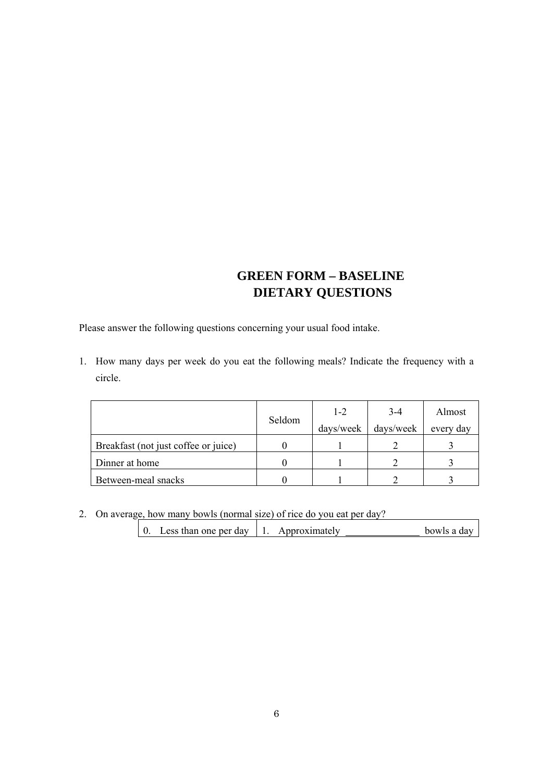## **GREEN FORM – BASELINE DIETARY QUESTIONS**

Please answer the following questions concerning your usual food intake.

1. How many days per week do you eat the following meals? Indicate the frequency with a circle.

|                                      | Seldom | $1 - 2$<br>days/week | $3-4$<br>days/week | Almost<br>every day |
|--------------------------------------|--------|----------------------|--------------------|---------------------|
| Breakfast (not just coffee or juice) |        |                      |                    |                     |
| Dinner at home                       |        |                      |                    |                     |
| Between-meal snacks                  |        |                      |                    |                     |

2. On average, how many bowls (normal size) of rice do you eat per day?

| Less than one per day<br>Approximately<br>bowls a dav |  |
|-------------------------------------------------------|--|
|-------------------------------------------------------|--|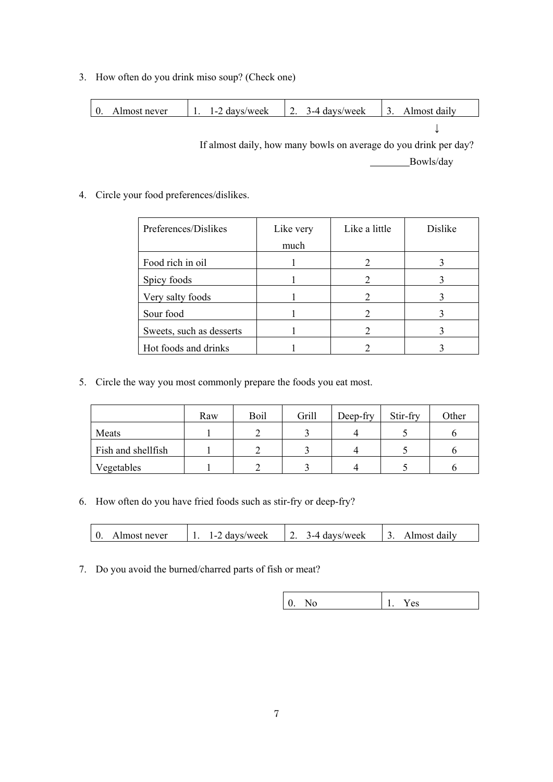3. How often do you drink miso soup? (Check one)

| 0. Almost never |  | 1. 1-2 days/week   2. 3-4 days/week   3. Almost daily |  |
|-----------------|--|-------------------------------------------------------|--|
|                 |  |                                                       |  |

If almost daily, how many bowls on average do you drink per day? Bowls/day

#### 4. Circle your food preferences/dislikes.

| Preferences/Dislikes     | Like very | Like a little | Dislike |
|--------------------------|-----------|---------------|---------|
|                          | much      |               |         |
| Food rich in oil         |           |               |         |
| Spicy foods              |           |               |         |
| Very salty foods         |           | 2             |         |
| Sour food                |           |               |         |
| Sweets, such as desserts |           |               |         |
| Hot foods and drinks     |           |               |         |

5. Circle the way you most commonly prepare the foods you eat most.

|                    | Raw | Boil | Grill | Deep-fry | Stir-fry | Other |
|--------------------|-----|------|-------|----------|----------|-------|
| Meats              |     |      |       |          |          |       |
| Fish and shellfish |     |      |       |          |          |       |
| Vegetables         |     |      |       |          |          |       |

6. How often do you have fried foods such as stir-fry or deep-fry?

| $\Lambda$<br>$\mathbf{1}$<br>days/week<br>Almost never<br>days/week<br>lmost daily<br>$\overline{\phantom{0}}$<br><u>.</u><br>. . |
|-----------------------------------------------------------------------------------------------------------------------------------|
|-----------------------------------------------------------------------------------------------------------------------------------|

7. Do you avoid the burned/charred parts of fish or meat?

|--|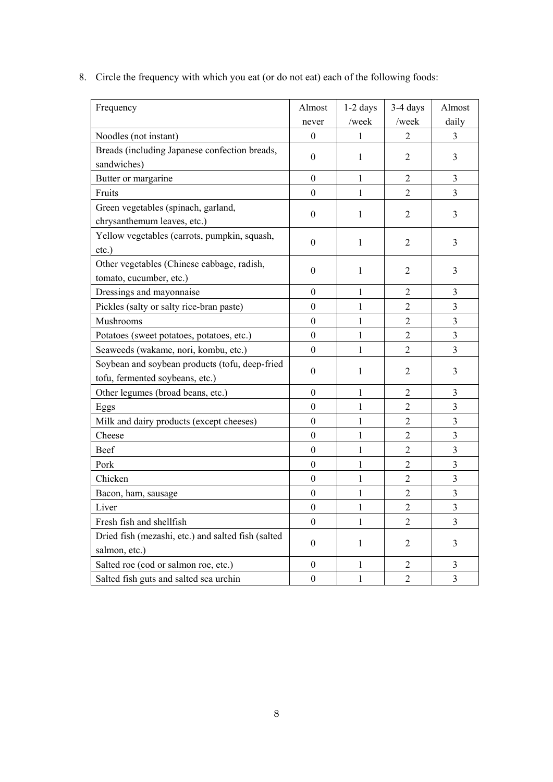8. Circle the frequency with which you eat (or do not eat) each of the following foods:

| Frequency                                                                         | Almost           | $1-2$ days   | 3-4 days       | Almost                  |
|-----------------------------------------------------------------------------------|------------------|--------------|----------------|-------------------------|
|                                                                                   | never            | /week        | /week          | daily                   |
| Noodles (not instant)                                                             | $\overline{0}$   | 1            |                | 3                       |
| Breads (including Japanese confection breads,<br>sandwiches)                      | $\boldsymbol{0}$ | 1            | $\overline{2}$ | 3                       |
| Butter or margarine                                                               | $\boldsymbol{0}$ | 1            | $\overline{2}$ | 3                       |
| Fruits                                                                            | $\boldsymbol{0}$ | 1            | $\overline{2}$ | $\overline{3}$          |
| Green vegetables (spinach, garland,<br>chrysanthemum leaves, etc.)                | $\boldsymbol{0}$ | 1            | $\overline{2}$ | 3                       |
| Yellow vegetables (carrots, pumpkin, squash,<br>$etc.$ )                          | $\boldsymbol{0}$ | 1            | $\overline{2}$ | 3                       |
| Other vegetables (Chinese cabbage, radish,<br>tomato, cucumber, etc.)             | $\boldsymbol{0}$ | 1            | $\overline{2}$ | 3                       |
| Dressings and mayonnaise                                                          | $\boldsymbol{0}$ | 1            | $\overline{2}$ | 3                       |
| Pickles (salty or salty rice-bran paste)                                          | $\boldsymbol{0}$ | 1            | $\overline{2}$ | 3                       |
| Mushrooms                                                                         | $\mathbf{0}$     | 1            | $\overline{2}$ | $\overline{\mathbf{3}}$ |
| Potatoes (sweet potatoes, potatoes, etc.)                                         | $\boldsymbol{0}$ | 1            | $\overline{2}$ | $\overline{\mathbf{3}}$ |
| Seaweeds (wakame, nori, kombu, etc.)                                              | $\overline{0}$   | 1            | $\overline{2}$ | 3                       |
| Soybean and soybean products (tofu, deep-fried<br>tofu, fermented soybeans, etc.) | $\boldsymbol{0}$ | 1            | $\overline{2}$ | 3                       |
| Other legumes (broad beans, etc.)                                                 | $\boldsymbol{0}$ | 1            | $\overline{2}$ | 3                       |
| Eggs                                                                              | $\boldsymbol{0}$ | 1            | $\overline{2}$ | $\overline{\mathbf{3}}$ |
| Milk and dairy products (except cheeses)                                          | $\mathbf{0}$     | 1            | $\overline{2}$ | $\overline{3}$          |
| Cheese                                                                            | $\mathbf{0}$     | 1            | $\overline{2}$ | $\overline{\mathbf{3}}$ |
| Beef                                                                              | $\boldsymbol{0}$ | 1            | $\overline{2}$ | $\overline{3}$          |
| Pork                                                                              | $\boldsymbol{0}$ | 1            | $\overline{2}$ | 3                       |
| Chicken                                                                           | $\boldsymbol{0}$ | 1            | $\overline{2}$ | 3                       |
| Bacon, ham, sausage                                                               | $\boldsymbol{0}$ | $\mathbf{1}$ | $\overline{2}$ | 3                       |
| Liver                                                                             | $\boldsymbol{0}$ | $\mathbf{1}$ | $\overline{2}$ | $\overline{\mathbf{3}}$ |
| Fresh fish and shellfish                                                          | $\mathbf{0}$     | 1            | $\overline{2}$ | 3                       |
| Dried fish (mezashi, etc.) and salted fish (salted<br>salmon, etc.)               | $\mathbf{0}$     | 1            | $\overline{2}$ | 3                       |
| Salted roe (cod or salmon roe, etc.)                                              | $\boldsymbol{0}$ | $\mathbf{1}$ | $\overline{2}$ | $\overline{\mathbf{3}}$ |
| Salted fish guts and salted sea urchin                                            | $\boldsymbol{0}$ | $\mathbf{1}$ | $\overline{2}$ | 3                       |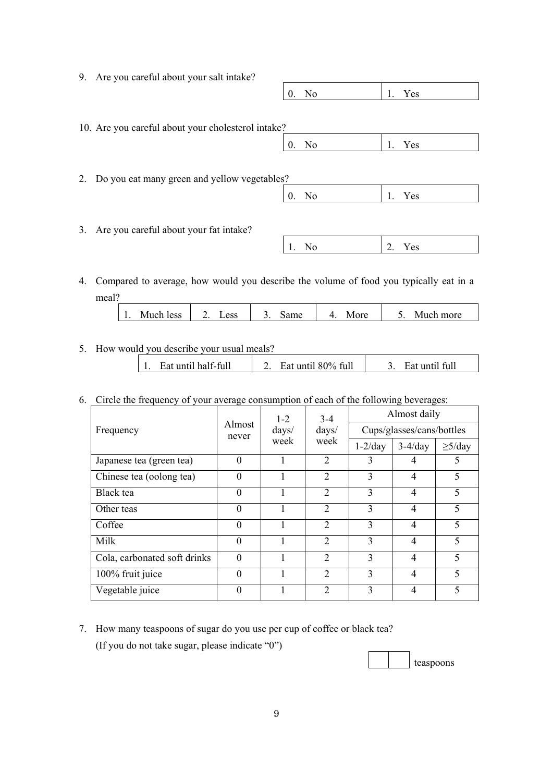| 9. | Are you careful about your salt intake?                                                  |                  |                |           |
|----|------------------------------------------------------------------------------------------|------------------|----------------|-----------|
|    |                                                                                          | $0_{\cdot}$      | N <sub>o</sub> | Yes<br>1. |
|    |                                                                                          |                  |                |           |
|    | 10. Are you careful about your cholesterol intake?                                       |                  |                |           |
|    |                                                                                          | $\overline{0}$ . | N <sub>0</sub> | Yes<br>1. |
|    |                                                                                          |                  |                |           |
|    | 2. Do you eat many green and yellow vegetables?                                          |                  |                |           |
|    |                                                                                          | $\overline{0}$ . | N <sub>o</sub> | Yes<br>1. |
|    |                                                                                          |                  |                |           |
| 3. | Are you careful about your fat intake?                                                   |                  |                |           |
|    |                                                                                          |                  | N <sub>o</sub> | 2.<br>Yes |
|    |                                                                                          |                  |                |           |
|    | 1. Compared to evergoe, how would you describe the volume of food you typically eat in a |                  |                |           |

4. Compared to average, how would you describe the volume of food you typically eat in a meal?

| more<br>IVHK.<br>11.<br>ັ<br>. .<br>- - |
|-----------------------------------------|
|-----------------------------------------|

5. How would you describe your usual meals?

| Eat until 80% full<br>Eat until half-full | Eat until full |
|-------------------------------------------|----------------|
|-------------------------------------------|----------------|

6. Circle the frequency of your average consumption of each of the following beverages:

|                              | Almost<br>never | $1 - 2$<br>$\frac{days}{ }$ | $3-4$<br>$\frac{days}{ }$   | Almost daily              |                |              |  |
|------------------------------|-----------------|-----------------------------|-----------------------------|---------------------------|----------------|--------------|--|
| Frequency                    |                 |                             |                             | Cups/glasses/cans/bottles |                |              |  |
|                              |                 | week                        | week                        | $1-2/day$                 | $3-4/day$      | $\geq$ 5/day |  |
| Japanese tea (green tea)     | $\theta$        |                             | $\overline{2}$              | 3                         | 4              | 5            |  |
| Chinese tea (oolong tea)     | $\theta$        |                             | $\overline{2}$              | 3                         | 4              | 5            |  |
| Black tea                    | $\theta$        |                             | $\overline{2}$              | 3                         | 4              | 5            |  |
| Other teas                   | $\theta$        |                             | $\overline{2}$              | 3                         | $\overline{4}$ | 5            |  |
| Coffee                       | $\theta$        |                             | $\overline{2}$              | 3                         | 4              | 5            |  |
| Milk                         | $\theta$        |                             | $\overline{2}$              | 3                         | 4              | 5            |  |
| Cola, carbonated soft drinks | $\theta$        |                             | $\overline{2}$              | 3                         | 4              | 5            |  |
| 100% fruit juice             | $\theta$        |                             | $\mathcal{D}_{\mathcal{L}}$ | 3                         | 4              | 5            |  |
| Vegetable juice              | $\theta$        |                             | $\mathcal{D}_{\mathcal{L}}$ | 3                         | $\overline{4}$ | 5            |  |

7. How many teaspoons of sugar do you use per cup of coffee or black tea? (If you do not take sugar, please indicate "0")

teaspoons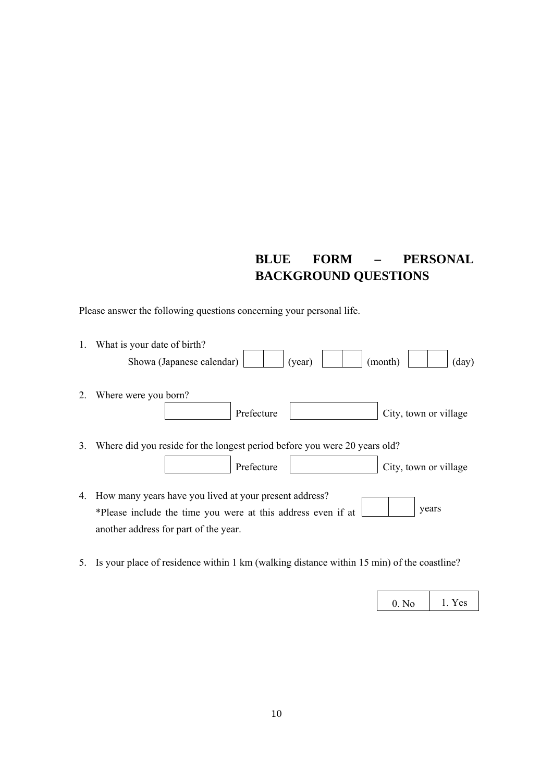## **BLUE FORM – PERSONAL BACKGROUND QUESTIONS**

Please answer the following questions concerning your personal life.

| 1. | What is your date of birth?                                                                                                                                              |
|----|--------------------------------------------------------------------------------------------------------------------------------------------------------------------------|
|    | (year)<br>Showa (Japanese calendar)<br>$\text{(day)}$<br>(month)                                                                                                         |
| 2. | Where were you born?<br>Prefecture<br>City, town or village                                                                                                              |
| 3. | Where did you reside for the longest period before you were 20 years old?                                                                                                |
|    | Prefecture<br>City, town or village                                                                                                                                      |
| 4. | How many years have you lived at your present address?<br>years<br>*Please include the time you were at this address even if at<br>another address for part of the year. |

5. Is your place of residence within 1 km (walking distance within 15 min) of the coastline?

|  | r es |
|--|------|
|--|------|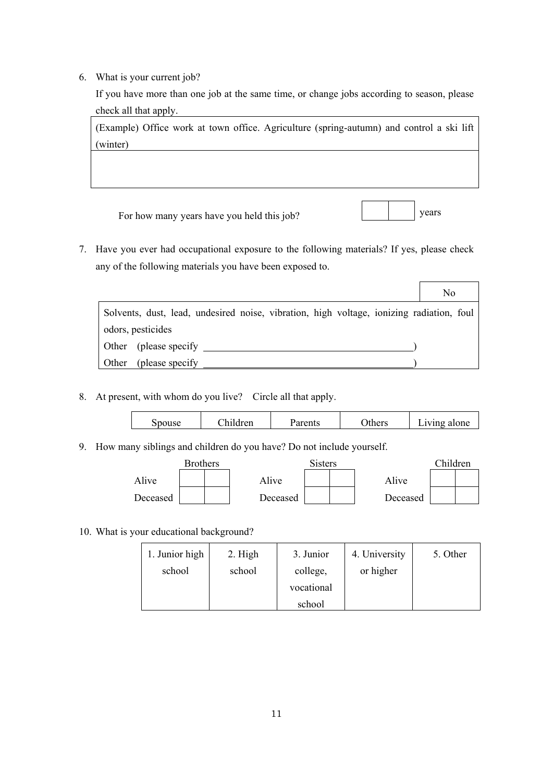6. What is your current job?

If you have more than one job at the same time, or change jobs according to season, please check all that apply.

(Example) Office work at town office. Agriculture (spring-autumn) and control a ski lift (winter)

years

 $\Gamma$ 

i<br>I

For how many years have you held this job?

7. Have you ever had occupational exposure to the following materials? If yes, please check any of the following materials you have been exposed to.

|                                                                                          | No |
|------------------------------------------------------------------------------------------|----|
| Solvents, dust, lead, undesired noise, vibration, high voltage, ionizing radiation, foul |    |
| odors, pesticides                                                                        |    |
| Other (please specify)                                                                   |    |
| (please specify)<br><b>Other</b>                                                         |    |

8. At present, with whom do you live? Circle all that apply.

| Spouse | dren | ents<br>$\mathbf{u}$ | thers | alone<br>1ving<br>$\mathbf{L}[\mathbf{V}]$ |
|--------|------|----------------------|-------|--------------------------------------------|
|        |      |                      |       |                                            |

9. How many siblings and children do you have? Do not include yourself.

|          | <b>Brothers</b> |          | <b>Sisters</b> |          | Children |  |
|----------|-----------------|----------|----------------|----------|----------|--|
| Alive    |                 | Alive    |                | Alive    |          |  |
| Deceased |                 | Deceased |                | Deceased |          |  |

10. What is your educational background?

| 1. Junior high | 2. High | 3. Junior  | 4. University | 5. Other |
|----------------|---------|------------|---------------|----------|
| school         | school  | college,   | or higher     |          |
|                |         | vocational |               |          |
|                |         | school     |               |          |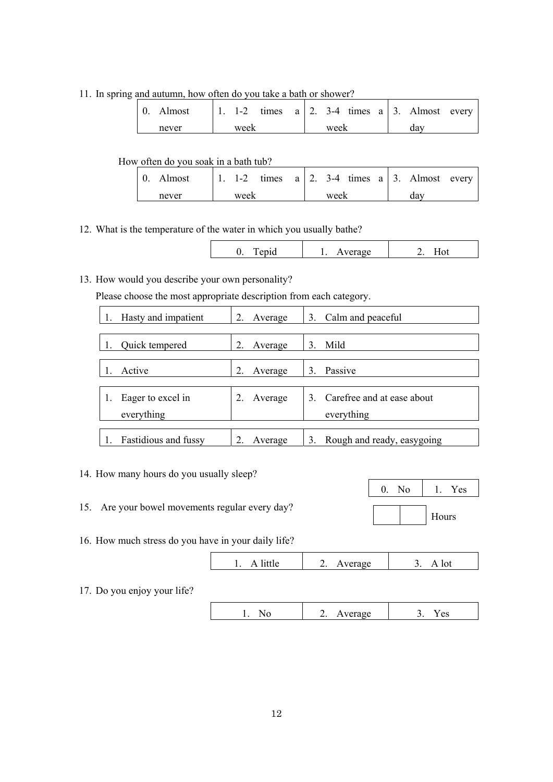11. In spring and autumn, how often do you take a bath or shower?

| 0. Almost |      |  |      |  | 1. 1-2 times $a \mid 2$ . 3-4 times $a \mid 3$ . Almost every |  |
|-----------|------|--|------|--|---------------------------------------------------------------|--|
| never     | week |  | week |  | dav                                                           |  |

#### How often do you soak in a bath tub?

| $\vert$ 0. Almost | 1. 1-2 times $a \mid 2$ . 3-4 times $a \mid 3$ . Almost every |      |     |  |
|-------------------|---------------------------------------------------------------|------|-----|--|
| never             | week                                                          | week | dav |  |

12. What is the temperature of the water in which you usually bathe?

13. How would you describe your own personality?

Please choose the most appropriate description from each category.

| Hasty and impatient         | 2.<br>Average             | 3.<br>Calm and peaceful          |
|-----------------------------|---------------------------|----------------------------------|
|                             |                           |                                  |
| Quick tempered              | 2.<br>Average             | Mild<br>3                        |
|                             |                           |                                  |
| Active                      | $\overline{2}$<br>Average | 3<br>Passive                     |
|                             |                           |                                  |
| Eager to excel in           | Average                   | Carefree and at ease about       |
| everything                  |                           | everything                       |
|                             |                           |                                  |
| <b>Fastidious and fussy</b> | Average                   | Rough and ready, easygoing<br>3. |

14. How many hours do you usually sleep?

15. Are your bowel movements regular every day?

| No | Yes   |
|----|-------|
|    | Hours |

16. How much stress do you have in your daily life?

|  | ۰۵ | erage: |  |
|--|----|--------|--|
|--|----|--------|--|

17. Do you enjoy your life?

| rage<br>ື<br><u>یں</u> |
|------------------------|
|------------------------|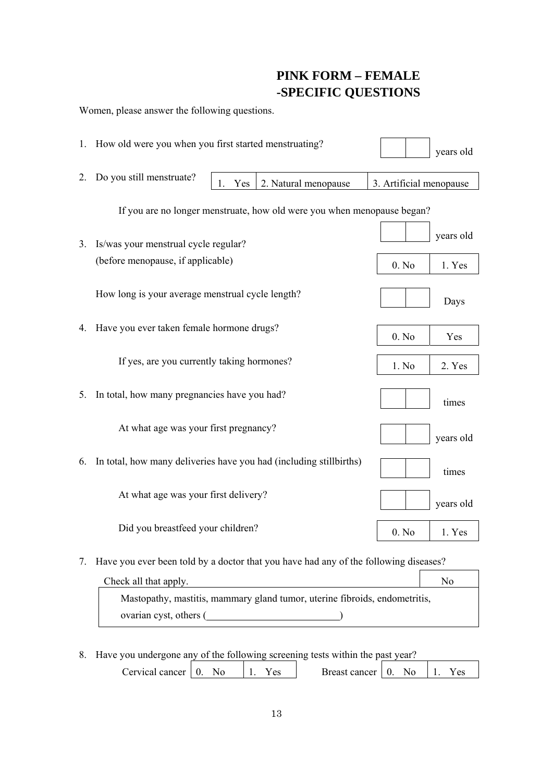#### **PINK FORM – FEMALE -SPECIFIC QUESTIONS**

|                                                                         | Women, please answer the following questions.                                        |                 |                |                      |                         |           |  |  |
|-------------------------------------------------------------------------|--------------------------------------------------------------------------------------|-----------------|----------------|----------------------|-------------------------|-----------|--|--|
|                                                                         | 1. How old were you when you first started menstruating?                             |                 |                |                      |                         | years old |  |  |
| 2.                                                                      | Do you still menstruate?                                                             | 1.              | Yes            | 2. Natural menopause | 3. Artificial menopause |           |  |  |
| If you are no longer menstruate, how old were you when menopause began? |                                                                                      |                 |                |                      |                         |           |  |  |
| 3.                                                                      | Is/was your menstrual cycle regular?                                                 | years old       |                |                      |                         |           |  |  |
|                                                                         | (before menopause, if applicable)                                                    | 0. No<br>1. Yes |                |                      |                         |           |  |  |
|                                                                         | How long is your average menstrual cycle length?                                     |                 | Days           |                      |                         |           |  |  |
| 4.                                                                      | Have you ever taken female hormone drugs?                                            | 0. No           | Yes            |                      |                         |           |  |  |
|                                                                         | If yes, are you currently taking hormones?                                           | 1. No           | 2. Yes         |                      |                         |           |  |  |
| 5.                                                                      | In total, how many pregnancies have you had?                                         |                 | times          |                      |                         |           |  |  |
|                                                                         | At what age was your first pregnancy?                                                |                 | years old      |                      |                         |           |  |  |
| 6.                                                                      | In total, how many deliveries have you had (including still births)                  |                 |                |                      |                         | times     |  |  |
|                                                                         | At what age was your first delivery?                                                 |                 |                |                      |                         | years old |  |  |
|                                                                         | Did you breastfeed your children?                                                    |                 |                |                      | 0. No                   | 1. Yes    |  |  |
| 7.                                                                      | Have you ever been told by a doctor that you have had any of the following diseases? |                 |                |                      |                         |           |  |  |
|                                                                         | Check all that apply.                                                                |                 | N <sub>0</sub> |                      |                         |           |  |  |
|                                                                         | Mastopathy, mastitis, mammary gland tumor, uterine fibroids, endometritis,           |                 |                |                      |                         |           |  |  |

| 8. Have you undergone any of the following screening tests within the past year? |  |  |  |                |                                                                                              |  |  |  |  |  |
|----------------------------------------------------------------------------------|--|--|--|----------------|----------------------------------------------------------------------------------------------|--|--|--|--|--|
| Cervical cancer $\vert$ 0. No                                                    |  |  |  | $\vert$ 1. Yes | Breast cancer $\begin{array}{ c c c c c } \hline 0. & \text{No} & 1. \hline \end{array}$ Yes |  |  |  |  |  |

ovarian cyst, others ( )